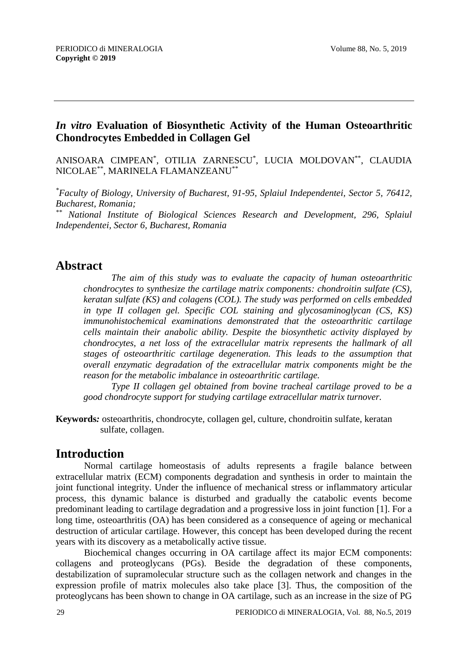#### *In vitro* **Evaluation of Biosynthetic Activity of the Human Osteoarthritic Chondrocytes Embedded in Collagen Gel**

ANISOARA CIMPEAN\* , OTILIA ZARNESCU\* , LUCIA MOLDOVAN\*\*, CLAUDIA NICOLAE\*\*, MARINELA FLAMANZEANU\*\*

*\*Faculty of Biology, University of Bucharest, 91-95, Splaiul Independentei, Sector 5, 76412, Bucharest, Romania;* 

*\*\* National Institute of Biological Sciences Research and Development, 296, Splaiul Independentei, Sector 6, Bucharest, Romania* 

### **Abstract**

*The aim of this study was to evaluate the capacity of human osteoarthritic chondrocytes to synthesize the cartilage matrix components: chondroitin sulfate (CS), keratan sulfate (KS) and colagens (COL). The study was performed on cells embedded in type II collagen gel. Specific COL staining and glycosaminoglycan (CS, KS) immunohistochemical examinations demonstrated that the osteoarthritic cartilage cells maintain their anabolic ability. Despite the biosynthetic activity displayed by chondrocytes, a net loss of the extracellular matrix represents the hallmark of all stages of osteoarthritic cartilage degeneration. This leads to the assumption that overall enzymatic degradation of the extracellular matrix components might be the reason for the metabolic imbalance in osteoarthritic cartilage.*

*Type II collagen gel obtained from bovine tracheal cartilage proved to be a good chondrocyte support for studying cartilage extracellular matrix turnover.*

**Keywords***:* osteoarthritis, chondrocyte, collagen gel, culture, chondroitin sulfate, keratan sulfate, collagen.

### **Introduction**

Normal cartilage homeostasis of adults represents a fragile balance between extracellular matrix (ECM) components degradation and synthesis in order to maintain the joint functional integrity. Under the influence of mechanical stress or inflammatory articular process, this dynamic balance is disturbed and gradually the catabolic events become predominant leading to cartilage degradation and a progressive loss in joint function [1]. For a long time, osteoarthritis (OA) has been considered as a consequence of ageing or mechanical destruction of articular cartilage. However, this concept has been developed during the recent years with its discovery as a metabolically active tissue.

Biochemical changes occurring in OA cartilage affect its major ECM components: collagens and proteoglycans (PGs). Beside the degradation of these components, destabilization of supramolecular structure such as the collagen network and changes in the expression profile of matrix molecules also take place [3]. Thus, the composition of the proteoglycans has been shown to change in OA cartilage, such as an increase in the size of PG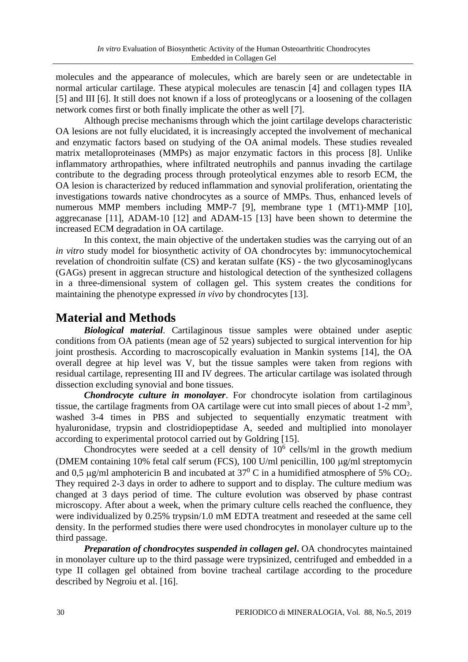molecules and the appearance of molecules, which are barely seen or are undetectable in normal articular cartilage. These atypical molecules are tenascin [4] and collagen types IIA [5] and III [6]. It still does not known if a loss of proteoglycans or a loosening of the collagen network comes first or both finally implicate the other as well [7].

Although precise mechanisms through which the joint cartilage develops characteristic OA lesions are not fully elucidated, it is increasingly accepted the involvement of mechanical and enzymatic factors based on studying of the OA animal models. These studies revealed matrix metalloproteinases (MMPs) as major enzymatic factors in this process [8]. Unlike inflammatory arthropathies, where infiltrated neutrophils and pannus invading the cartilage contribute to the degrading process through proteolytical enzymes able to resorb ECM, the OA lesion is characterized by reduced inflammation and synovial proliferation, orientating the investigations towards native chondrocytes as a source of MMPs. Thus, enhanced levels of numerous MMP members including MMP-7 [9], membrane type 1 (MT1)-MMP [10], aggrecanase [11], ADAM-10 [12] and ADAM-15 [13] have been shown to determine the increased ECM degradation in OA cartilage.

In this context, the main objective of the undertaken studies was the carrying out of an *in vitro* study model for biosynthetic activity of OA chondrocytes by: immunocytochemical revelation of chondroitin sulfate (CS) and keratan sulfate (KS) - the two glycosaminoglycans (GAGs) present in aggrecan structure and histological detection of the synthesized collagens in a three-dimensional system of collagen gel. This system creates the conditions for maintaining the phenotype expressed *in vivo* by chondrocytes [13].

# **Material and Methods**

*Biological material*. Cartilaginous tissue samples were obtained under aseptic conditions from OA patients (mean age of 52 years) subjected to surgical intervention for hip joint prosthesis. According to macroscopically evaluation in Mankin systems [14], the OA overall degree at hip level was V, but the tissue samples were taken from regions with residual cartilage, representing III and IV degrees. The articular cartilage was isolated through dissection excluding synovial and bone tissues.

*Chondrocyte culture in monolayer*. For chondrocyte isolation from cartilaginous tissue, the cartilage fragments from OA cartilage were cut into small pieces of about  $1\n-2$  mm<sup>3</sup>, washed 3-4 times in PBS and subjected to sequentially enzymatic treatment with hyaluronidase, trypsin and clostridiopeptidase A, seeded and multiplied into monolayer according to experimental protocol carried out by Goldring [15].

Chondrocytes were seeded at a cell density of  $10^6$  cells/ml in the growth medium (DMEM containing 10% fetal calf serum (FCS), 100 U/ml penicillin, 100 µg/ml streptomycin and 0,5  $\mu$ g/ml amphotericin B and incubated at 37<sup>0</sup> C in a humidified atmosphere of 5% CO<sub>2</sub>. They required 2-3 days in order to adhere to support and to display. The culture medium was changed at 3 days period of time. The culture evolution was observed by phase contrast microscopy. After about a week, when the primary culture cells reached the confluence, they were individualized by 0.25% trypsin/1.0 mM EDTA treatment and reseeded at the same cell density. In the performed studies there were used chondrocytes in monolayer culture up to the third passage.

*Preparation of chondrocytes suspended in collagen gel*. OA chondrocytes maintained in monolayer culture up to the third passage were trypsinized, centrifuged and embedded in a type II collagen gel obtained from bovine tracheal cartilage according to the procedure described by Negroiu et al. [16].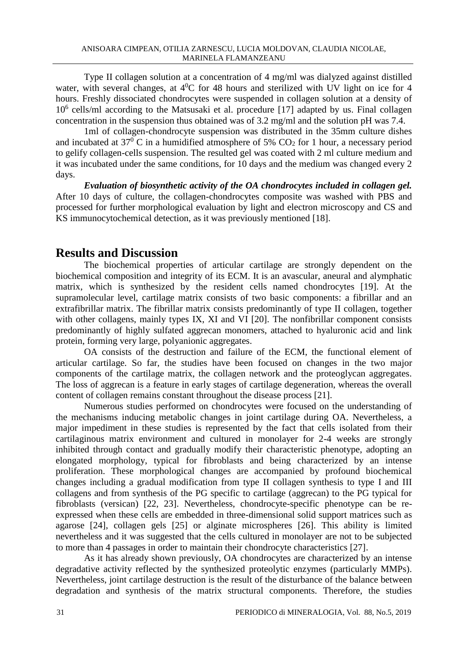Type II collagen solution at a concentration of 4 mg/ml was dialyzed against distilled water, with several changes, at  $4^{0}C$  for 48 hours and sterilized with UV light on ice for 4 hours. Freshly dissociated chondrocytes were suspended in collagen solution at a density of 10<sup>6</sup> cells/ml according to the Matsusaki et al. procedure [17] adapted by us. Final collagen concentration in the suspension thus obtained was of 3.2 mg/ml and the solution pH was 7.4.

1ml of collagen-chondrocyte suspension was distributed in the 35mm culture dishes and incubated at  $37^{\circ}$  C in a humidified atmosphere of 5% CO<sub>2</sub> for 1 hour, a necessary period to gelify collagen-cells suspension. The resulted gel was coated with 2 ml culture medium and it was incubated under the same conditions, for 10 days and the medium was changed every 2 days.

*Evaluation of biosynthetic activity of the OA chondrocytes included in collagen gel.* After 10 days of culture, the collagen-chondrocytes composite was washed with PBS and processed for further morphological evaluation by light and electron microscopy and CS and KS immunocytochemical detection, as it was previously mentioned [18].

### **Results and Discussion**

The biochemical properties of articular cartilage are strongly dependent on the biochemical composition and integrity of its ECM. It is an avascular, aneural and alymphatic matrix, which is synthesized by the resident cells named chondrocytes [19]. At the supramolecular level, cartilage matrix consists of two basic components: a fibrillar and an extrafibrillar matrix. The fibrillar matrix consists predominantly of type II collagen, together with other collagens, mainly types IX, XI and VI [20]. The nonfibrillar component consists predominantly of highly sulfated aggrecan monomers, attached to hyaluronic acid and link protein, forming very large, polyanionic aggregates.

OA consists of the destruction and failure of the ECM, the functional element of articular cartilage. So far, the studies have been focused on changes in the two major components of the cartilage matrix, the collagen network and the proteoglycan aggregates. The loss of aggrecan is a feature in early stages of cartilage degeneration, whereas the overall content of collagen remains constant throughout the disease process [21].

Numerous studies performed on chondrocytes were focused on the understanding of the mechanisms inducing metabolic changes in joint cartilage during OA. Nevertheless, a major impediment in these studies is represented by the fact that cells isolated from their cartilaginous matrix environment and cultured in monolayer for 2-4 weeks are strongly inhibited through contact and gradually modify their characteristic phenotype, adopting an elongated morphology, typical for fibroblasts and being characterized by an intense proliferation. These morphological changes are accompanied by profound biochemical changes including a gradual modification from type II collagen synthesis to type I and III collagens and from synthesis of the PG specific to cartilage (aggrecan) to the PG typical for fibroblasts (versican) [22, 23]. Nevertheless, chondrocyte-specific phenotype can be reexpressed when these cells are embedded in three-dimensional solid support matrices such as agarose [24], collagen gels [25] or alginate microspheres [26]. This ability is limited nevertheless and it was suggested that the cells cultured in monolayer are not to be subjected to more than 4 passages in order to maintain their chondrocyte characteristics [27].

As it has already shown previously, OA chondrocytes are characterized by an intense degradative activity reflected by the synthesized proteolytic enzymes (particularly MMPs). Nevertheless, joint cartilage destruction is the result of the disturbance of the balance between degradation and synthesis of the matrix structural components. Therefore, the studies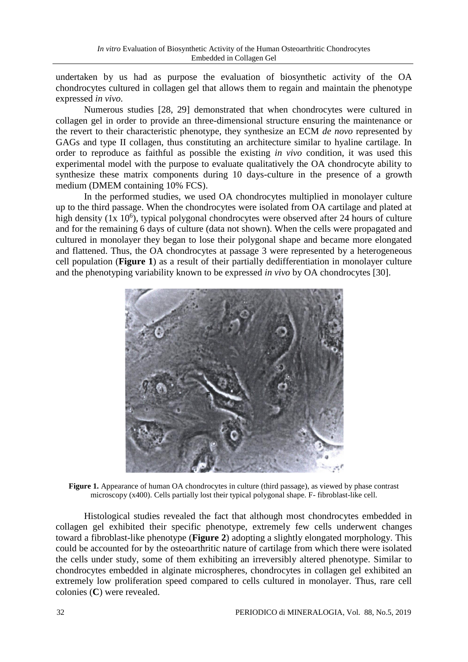undertaken by us had as purpose the evaluation of biosynthetic activity of the OA chondrocytes cultured in collagen gel that allows them to regain and maintain the phenotype expressed *in vivo*.

Numerous studies [28, 29] demonstrated that when chondrocytes were cultured in collagen gel in order to provide an three-dimensional structure ensuring the maintenance or the revert to their characteristic phenotype, they synthesize an ECM *de novo* represented by GAGs and type II collagen, thus constituting an architecture similar to hyaline cartilage. In order to reproduce as faithful as possible the existing *in vivo* condition, it was used this experimental model with the purpose to evaluate qualitatively the OA chondrocyte ability to synthesize these matrix components during 10 days-culture in the presence of a growth medium (DMEM containing 10% FCS).

In the performed studies, we used OA chondrocytes multiplied in monolayer culture up to the third passage. When the chondrocytes were isolated from OA cartilage and plated at high density  $(1x\ 10^6)$ , typical polygonal chondrocytes were observed after 24 hours of culture and for the remaining 6 days of culture (data not shown). When the cells were propagated and cultured in monolayer they began to lose their polygonal shape and became more elongated and flattened. Thus, the OA chondrocytes at passage 3 were represented by a heterogeneous cell population (**Figure 1**) as a result of their partially dedifferentiation in monolayer culture and the phenotyping variability known to be expressed *in vivo* by OA chondrocytes [30].



Figure 1. Appearance of human OA chondrocytes in culture (third passage), as viewed by phase contrast microscopy (x400). Cells partially lost their typical polygonal shape. F- fibroblast-like cell.

Histological studies revealed the fact that although most chondrocytes embedded in collagen gel exhibited their specific phenotype, extremely few cells underwent changes toward a fibroblast-like phenotype (**Figure 2**) adopting a slightly elongated morphology. This could be accounted for by the osteoarthritic nature of cartilage from which there were isolated the cells under study, some of them exhibiting an irreversibly altered phenotype. Similar to chondrocytes embedded in alginate microspheres, chondrocytes in collagen gel exhibited an extremely low proliferation speed compared to cells cultured in monolayer. Thus, rare cell colonies (**C**) were revealed.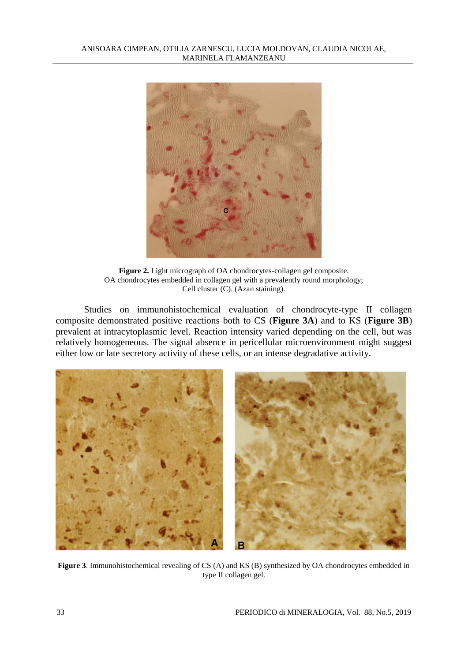

**Figure 2.** Light micrograph of OA chondrocytes-collagen gel composite. OA chondrocytes embedded in collagen gel with a prevalently round morphology; Cell cluster (C). (Azan staining).

Studies on immunohistochemical evaluation of chondrocyte-type II collagen composite demonstrated positive reactions both to CS (**Figure 3A**) and to KS (**Figure 3B**) prevalent at intracytoplasmic level. Reaction intensity varied depending on the cell, but was relatively homogeneous. The signal absence in pericellular microenvironment might suggest either low or late secretory activity of these cells, or an intense degradative activity.



**Figure 3**. Immunohistochemical revealing of CS (A) and KS (B) synthesized by OA chondrocytes embedded in type II collagen gel.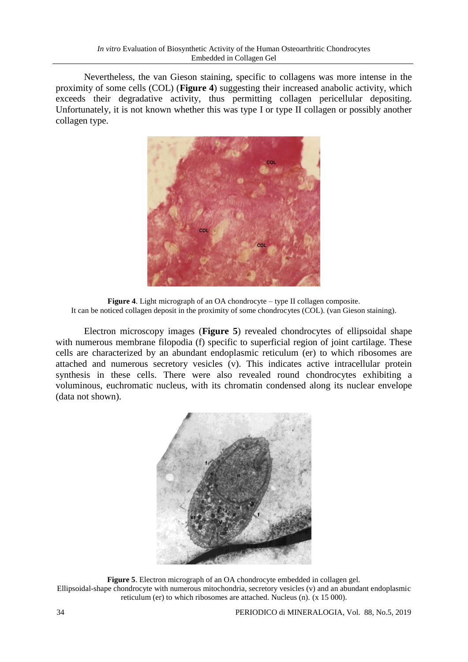Nevertheless, the van Gieson staining, specific to collagens was more intense in the proximity of some cells (COL) (**Figure 4**) suggesting their increased anabolic activity, which exceeds their degradative activity, thus permitting collagen pericellular depositing. Unfortunately, it is not known whether this was type I or type II collagen or possibly another collagen type.



**Figure 4**. Light micrograph of an OA chondrocyte – type II collagen composite. It can be noticed collagen deposit in the proximity of some chondrocytes (COL). (van Gieson staining).

Electron microscopy images (**Figure 5**) revealed chondrocytes of ellipsoidal shape with numerous membrane filopodia (f) specific to superficial region of joint cartilage. These cells are characterized by an abundant endoplasmic reticulum (er) to which ribosomes are attached and numerous secretory vesicles (v). This indicates active intracellular protein synthesis in these cells. There were also revealed round chondrocytes exhibiting a voluminous, euchromatic nucleus, with its chromatin condensed along its nuclear envelope (data not shown).



**Figure 5**. Electron micrograph of an OA chondrocyte embedded in collagen gel. Ellipsoidal-shape chondrocyte with numerous mitochondria, secretory vesicles (v) and an abundant endoplasmic reticulum (er) to which ribosomes are attached. Nucleus (n). (x 15 000).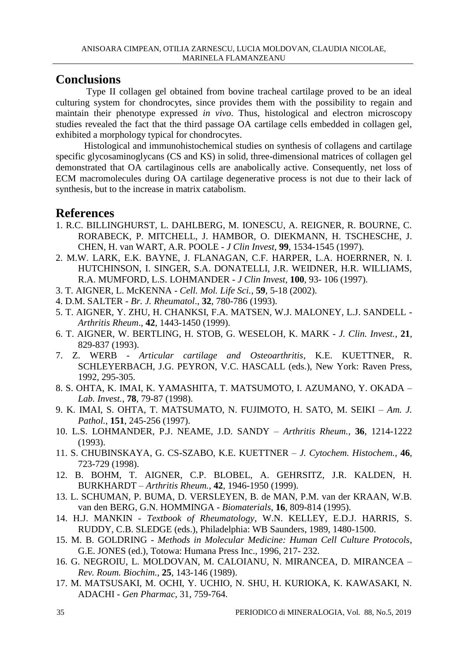### **Conclusions**

Type II collagen gel obtained from bovine tracheal cartilage proved to be an ideal culturing system for chondrocytes, since provides them with the possibility to regain and maintain their phenotype expressed *in vivo*. Thus, histological and electron microscopy studies revealed the fact that the third passage OA cartilage cells embedded in collagen gel, exhibited a morphology typical for chondrocytes.

Histological and immunohistochemical studies on synthesis of collagens and cartilage specific glycosaminoglycans (CS and KS) in solid, three-dimensional matrices of collagen gel demonstrated that OA cartilaginous cells are anabolically active. Consequently, net loss of ECM macromolecules during OA cartilage degenerative process is not due to their lack of synthesis, but to the increase in matrix catabolism.

## **References**

- 1. R.C. BILLINGHURST, L. DAHLBERG, M. IONESCU, A. REIGNER, R. BOURNE, C. RORABECK, P. MITCHELL, J. HAMBOR, O. DIEKMANN, H. TSCHESCHE, J. CHEN, H. van WART, A.R. POOLE - *J Clin Invest,* **99**, 1534-1545 (1997).
- 2. M.W. LARK, E.K. BAYNE, J. FLANAGAN, C.F. HARPER, L.A. HOERRNER, N. I. HUTCHINSON, I. SINGER, S.A. DONATELLI, J.R. WEIDNER, H.R. WILLIAMS, R.A. MUMFORD, L.S. LOHMANDER - *J Clin Invest,* **100**, 93- 106 (1997).
- 3. T. AIGNER, L. McKENNA *Cell. Mol. Life Sci.*, **59**, 5-18 (2002).
- 4. D.M. SALTER *Br. J. Rheumatol*., **32**, 780-786 (1993).
- 5. T. AIGNER, Y. ZHU, H. CHANKSI, F.A. MATSEN, W.J. MALONEY, L.J. SANDELL *Arthritis Rheum*., **42**, 1443-1450 (1999).
- 6. T. AIGNER, W. BERTLING, H. STOB, G. WESELOH, K. MARK *J. Clin. Invest.*, **21**, 829-837 (1993).
- 7. Z. WERB *Articular cartilage and Osteoarthritis*, K.E. KUETTNER, R. SCHLEYERBACH, J.G. PEYRON, V.C. HASCALL (eds.), New York: Raven Press, 1992, 295-305.
- 8. S. OHTA, K. IMAI, K. YAMASHITA, T. MATSUMOTO, I. AZUMANO, Y. OKADA *Lab. Invest.*, **78**, 79-87 (1998).
- 9. K. IMAI, S. OHTA, T. MATSUMATO, N. FUJIMOTO, H. SATO, M. SEIKI *Am. J. Pathol.*, **151**, 245-256 (1997).
- 10. L.S. LOHMANDER, P.J. NEAME, J.D. SANDY *Arthritis Rheum.*, **36**, 1214-1222 (1993).
- 11. S. CHUBINSKAYA, G. CS-SZABO, K.E. KUETTNER *J. Cytochem. Histochem.*, **46**, 723-729 (1998).
- 12. B. BOHM, T. AIGNER, C.P. BLOBEL, A. GEHRSITZ, J.R. KALDEN, H. BURKHARDT – *Arthritis Rheum.*, **42**, 1946-1950 (1999).
- 13. L. SCHUMAN, P. BUMA, D. VERSLEYEN, B. de MAN, P.M. van der KRAAN, W.B. van den BERG, G.N. HOMMINGA - *Biomaterials*, **16**, 809-814 (1995).
- 14. H.J. MANKIN *Textbook of Rheumatology*, W.N. KELLEY, E.D.J. HARRIS, S. RUDDY, C.B. SLEDGE (eds.), Philadelphia: WB Saunders, 1989, 1480-1500.
- 15. M. B. GOLDRING *Methods in Molecular Medicine: Human Cell Culture Protocols*, G.E. JONES (ed.), Totowa: Humana Press Inc., 1996, 217- 232.
- 16. G. NEGROIU, L. MOLDOVAN, M. CALOIANU, N. MIRANCEA, D. MIRANCEA *Rev. Roum. Biochim.*, **25**, 143-146 (1989).
- 17. M. MATSUSAKI, M. OCHI, Y. UCHIO, N. SHU, H. KURIOKA, K. KAWASAKI, N. ADACHI - *Gen Pharmac,* 31, 759-764.